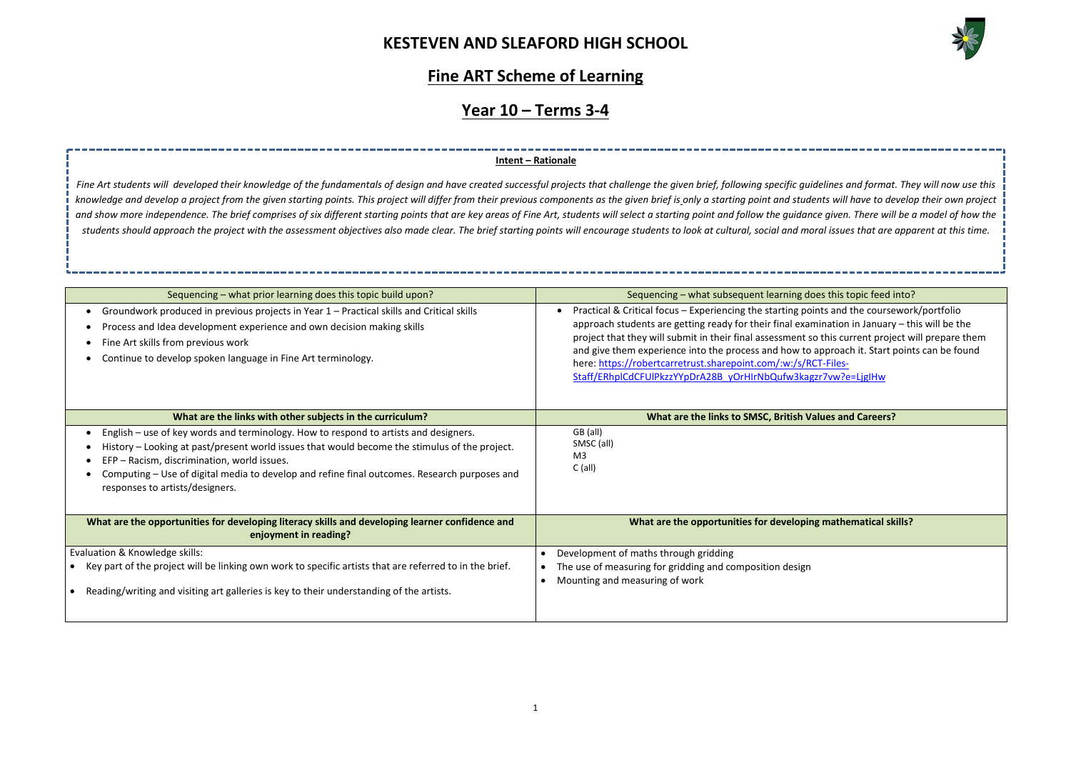

oes this topic feed into?

exaticle and the coursework/portfolio mination in January – this will be the so this current project will prepare them approach it. Start points can be found RCT-Filesgzr7vw?e=LjgIHw

**Mathematical skills?** 

### **Fine ART Scheme of Learning**

# **Year 10 – Terms 3-4**

| Sequencing - what prior learning does this topic build upon?                                                                                                                                                                                                                                                                                                            | Sequencing - what subsequent learning does this topic feed i                                                                                                                                                                                                                                                                                                                                                                                                |
|-------------------------------------------------------------------------------------------------------------------------------------------------------------------------------------------------------------------------------------------------------------------------------------------------------------------------------------------------------------------------|-------------------------------------------------------------------------------------------------------------------------------------------------------------------------------------------------------------------------------------------------------------------------------------------------------------------------------------------------------------------------------------------------------------------------------------------------------------|
| Groundwork produced in previous projects in Year 1 - Practical skills and Critical skills<br>Process and Idea development experience and own decision making skills<br>Fine Art skills from previous work<br>Continue to develop spoken language in Fine Art terminology.                                                                                               | Practical & Critical focus - Experiencing the starting points and the course<br>approach students are getting ready for their final examination in January<br>project that they will submit in their final assessment so this current proje<br>and give them experience into the process and how to approach it. Start p<br>here: https://robertcarretrust.sharepoint.com/:w:/s/RCT-Files-<br>Staff/ERhpICdCFUIPkzzYYpDrA28B yOrHIrNbQufw3kagzr7vw?e=LjgIHw |
| What are the links with other subjects in the curriculum?                                                                                                                                                                                                                                                                                                               | What are the links to SMSC, British Values and Careers?                                                                                                                                                                                                                                                                                                                                                                                                     |
| English – use of key words and terminology. How to respond to artists and designers.<br>History - Looking at past/present world issues that would become the stimulus of the project.<br>EFP - Racism, discrimination, world issues.<br>Computing - Use of digital media to develop and refine final outcomes. Research purposes and<br>responses to artists/designers. | GB (all)<br>SMSC (all)<br>M3<br>$C$ (all)                                                                                                                                                                                                                                                                                                                                                                                                                   |
| What are the opportunities for developing literacy skills and developing learner confidence and<br>enjoyment in reading?                                                                                                                                                                                                                                                | What are the opportunities for developing mathematical sk                                                                                                                                                                                                                                                                                                                                                                                                   |
| Evaluation & Knowledge skills:<br>Key part of the project will be linking own work to specific artists that are referred to in the brief.<br>Reading/writing and visiting art galleries is key to their understanding of the artists.                                                                                                                                   | Development of maths through gridding<br>The use of measuring for gridding and composition design<br>Mounting and measuring of work                                                                                                                                                                                                                                                                                                                         |

Fine Art students will developed their knowledge of the fundamentals of design and have created successful projects that challenge the given brief, following specific quidelines and format. They will now use this knowledge and develop a project from the given starting points. This project will differ from their previous components as the given brief is only a starting point and students will have to develop their own project and show more independence. The brief comprises of six different starting points that are key areas of Fine Art, students will select a starting point and follow the quidance given. There will be a model of how the *students should approach the project with the assessment objectives also made clear. The brief starting points will encourage students to look at cultural, social and moral issues that are apparent at this time.* 

### **Intent – Rationale**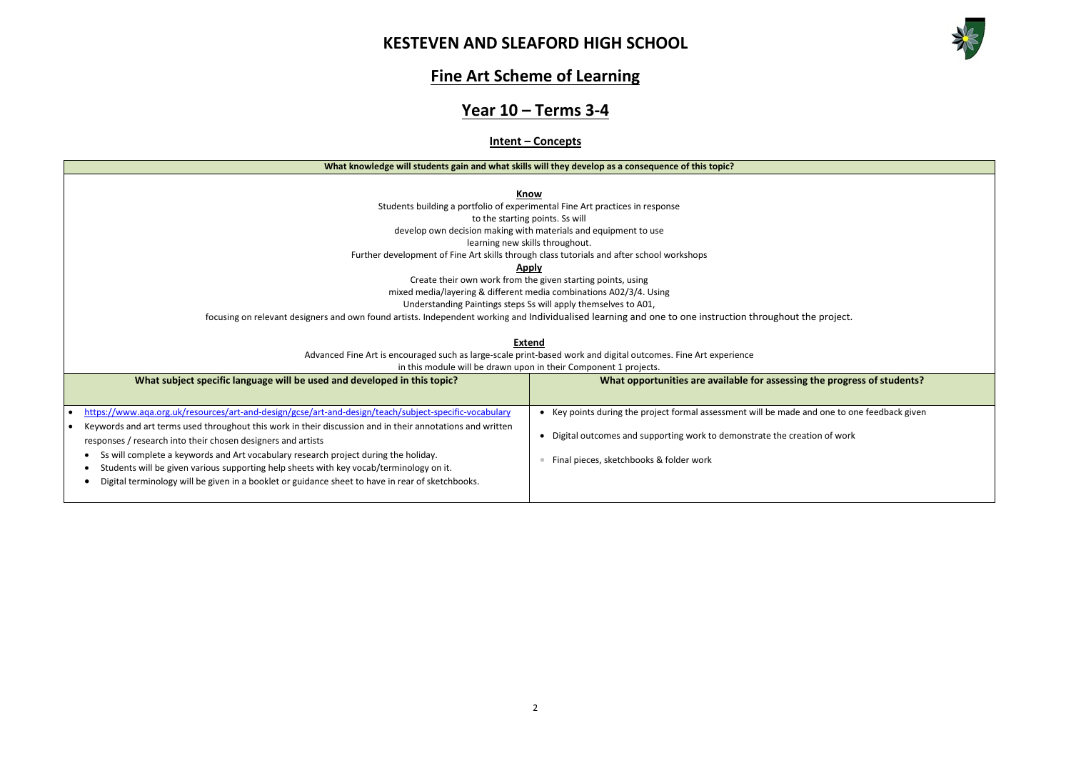

**Mediage progress of students?** I one to one feedback given n of work

### **Fine Art Scheme of Learning**

## **Year 10 – Terms 3-4**

### **Intent – Concepts**

#### **What knowledge will students gain and what skills will they develop as a consequence of this topic?**

**Know**

Students building a portfolio of experimental Fine Art practices in response

to the starting points. Ss will

develop own decision making with materials and equipment to use

learning new skills throughout.

Further development of Fine Art skills through class tutorials and after school workshops

### **Apply**

Create their own work from the given starting points, using

mixed media/layering & different media combinations A02/3/4. Using

Understanding Paintings steps Ss will apply themselves to A01,

focusing on relevant designers and own found artists. Independent working and Individualised learning and one to one instruction throughout the project.

### **Extend**

Advanced Fine Art is encouraged such as large-scale print-based work and digital outcomes. Fine Art experience

in this module will be drawn upon in their Component 1 projects.

| What subject specific language will be used and developed in this topic?                                                                                                                                                                                                                                                                                                                                                                                        | What opportunities are available for assessing the                                                         |  |  |
|-----------------------------------------------------------------------------------------------------------------------------------------------------------------------------------------------------------------------------------------------------------------------------------------------------------------------------------------------------------------------------------------------------------------------------------------------------------------|------------------------------------------------------------------------------------------------------------|--|--|
| https://www.aqa.org.uk/resources/art-and-design/gcse/art-and-design/teach/subject-specific-vocabulary                                                                                                                                                                                                                                                                                                                                                           | Key points during the project formal assessment will be made and                                           |  |  |
| Keywords and art terms used throughout this work in their discussion and in their annotations and written<br>responses / research into their chosen designers and artists<br>Ss will complete a keywords and Art vocabulary research project during the holiday.<br>Students will be given various supporting help sheets with key vocab/terminology on it.<br>Digital terminology will be given in a booklet or guidance sheet to have in rear of sketchbooks. | Digital outcomes and supporting work to demonstrate the creatio<br>Final pieces, sketchbooks & folder work |  |  |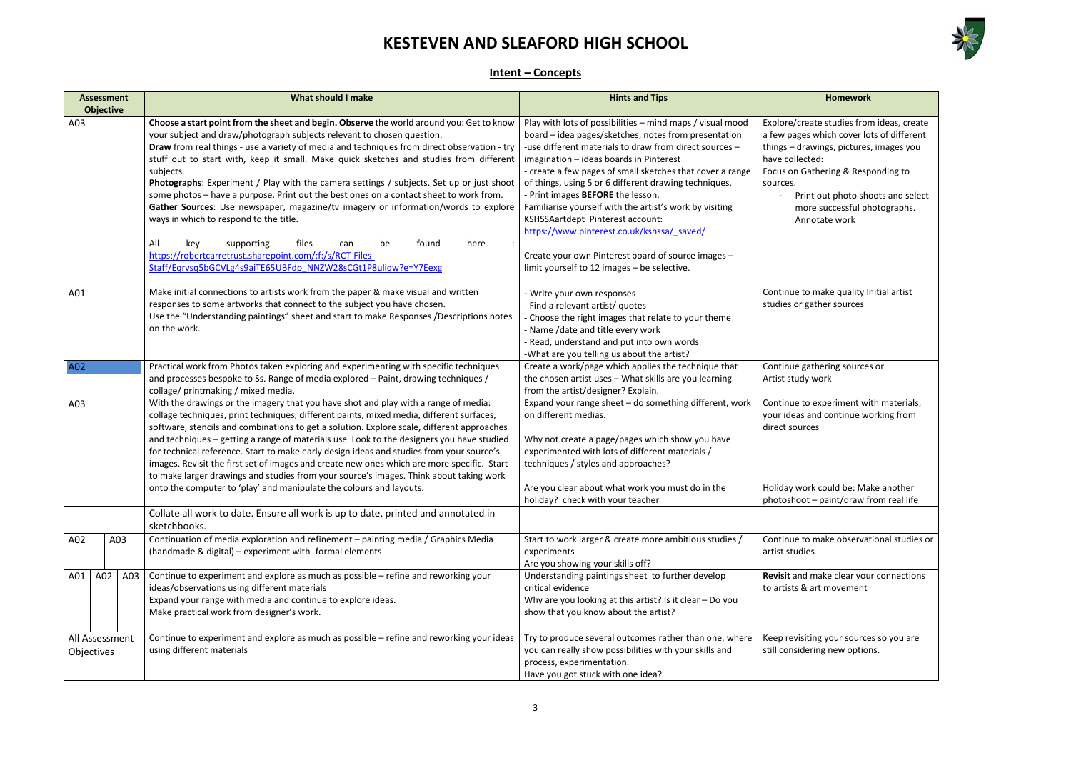

- ate studies from ideas, create which cover lots of different wings, pictures, images you ted:
- athering & Responding to
- It out photo shoots and select re successful photographs. hotate work

make quality Initial artist ather sources

thering sources or work

experiment with materials, and continue working from es:

rk could be: Make another  $p =$  paint/draw from real life

o make observational studies or

make clear your connections art movement

ing your sources so you are ring new options.

### **Intent – Concepts**

|            | <b>Assessment</b><br><b>Objective</b> | <b>What should I make</b>                                                                                                                                                                                                                                                                                                                                                                                                                                                                                                                                                                                                                                                                                                                                                                                                                                                                             | <b>Hints and Tips</b>                                                                                                                                                                                                                                                                                                                                                                                                                                                                                                                                                                                                               | Homework                                                                                                                                                                                                           |
|------------|---------------------------------------|-------------------------------------------------------------------------------------------------------------------------------------------------------------------------------------------------------------------------------------------------------------------------------------------------------------------------------------------------------------------------------------------------------------------------------------------------------------------------------------------------------------------------------------------------------------------------------------------------------------------------------------------------------------------------------------------------------------------------------------------------------------------------------------------------------------------------------------------------------------------------------------------------------|-------------------------------------------------------------------------------------------------------------------------------------------------------------------------------------------------------------------------------------------------------------------------------------------------------------------------------------------------------------------------------------------------------------------------------------------------------------------------------------------------------------------------------------------------------------------------------------------------------------------------------------|--------------------------------------------------------------------------------------------------------------------------------------------------------------------------------------------------------------------|
| A03        |                                       | Choose a start point from the sheet and begin. Observe the world around you: Get to know<br>your subject and draw/photograph subjects relevant to chosen question.<br>Draw from real things - use a variety of media and techniques from direct observation - try<br>stuff out to start with, keep it small. Make quick sketches and studies from different<br>subjects.<br><b>Photographs:</b> Experiment / Play with the camera settings / subjects. Set up or just shoot<br>some photos - have a purpose. Print out the best ones on a contact sheet to work from.<br>Gather Sources: Use newspaper, magazine/tv imagery or information/words to explore<br>ways in which to respond to the title.<br>All<br>supporting<br>files<br>found<br>here<br>can<br>be<br>key<br>https://robertcarretrust.sharepoint.com/:f:/s/RCT-Files-<br>Staff/Egrvsg5bGCVLg4s9aiTE65UBFdp NNZW28sCGt1P8uligw?e=Y7Eexg | Play with lots of possibilities - mind maps / visual mood<br>board - idea pages/sketches, notes from presentation<br>-use different materials to draw from direct sources -<br>imagination - ideas boards in Pinterest<br>- create a few pages of small sketches that cover a range<br>of things, using 5 or 6 different drawing techniques.<br>- Print images BEFORE the lesson.<br>Familiarise yourself with the artist's work by visiting<br>KSHSSAartdept Pinterest account:<br>https://www.pinterest.co.uk/kshssa/ saved/<br>Create your own Pinterest board of source images -<br>limit yourself to 12 images - be selective. | Explore/create studies fror<br>a few pages which cover lo<br>things - drawings, pictures<br>have collected:<br>Focus on Gathering & Resp<br>sources.<br>Print out photo sho<br>more successful ph<br>Annotate work |
| A01        |                                       | Make initial connections to artists work from the paper & make visual and written<br>responses to some artworks that connect to the subject you have chosen.<br>Use the "Understanding paintings" sheet and start to make Responses /Descriptions notes<br>on the work.                                                                                                                                                                                                                                                                                                                                                                                                                                                                                                                                                                                                                               | - Write your own responses<br>- Find a relevant artist/ quotes<br>- Choose the right images that relate to your theme<br>- Name /date and title every work<br>- Read, understand and put into own words<br>-What are you telling us about the artist?                                                                                                                                                                                                                                                                                                                                                                               | Continue to make quality li<br>studies or gather sources                                                                                                                                                           |
| A02        |                                       | Practical work from Photos taken exploring and experimenting with specific techniques<br>and processes bespoke to Ss. Range of media explored - Paint, drawing techniques /<br>collage/ printmaking / mixed media.                                                                                                                                                                                                                                                                                                                                                                                                                                                                                                                                                                                                                                                                                    | Create a work/page which applies the technique that<br>the chosen artist uses - What skills are you learning<br>from the artist/designer? Explain.                                                                                                                                                                                                                                                                                                                                                                                                                                                                                  | Continue gathering source:<br>Artist study work                                                                                                                                                                    |
| A03        |                                       | With the drawings or the imagery that you have shot and play with a range of media:<br>collage techniques, print techniques, different paints, mixed media, different surfaces,<br>software, stencils and combinations to get a solution. Explore scale, different approaches<br>and techniques - getting a range of materials use Look to the designers you have studied<br>for technical reference. Start to make early design ideas and studies from your source's<br>images. Revisit the first set of images and create new ones which are more specific. Start<br>to make larger drawings and studies from your source's images. Think about taking work                                                                                                                                                                                                                                         | Expand your range sheet - do something different, work<br>on different medias.<br>Why not create a page/pages which show you have<br>experimented with lots of different materials /<br>techniques / styles and approaches?                                                                                                                                                                                                                                                                                                                                                                                                         | Continue to experiment wi<br>your ideas and continue wo<br>direct sources                                                                                                                                          |
|            |                                       | onto the computer to 'play' and manipulate the colours and layouts.<br>Collate all work to date. Ensure all work is up to date, printed and annotated in                                                                                                                                                                                                                                                                                                                                                                                                                                                                                                                                                                                                                                                                                                                                              | Are you clear about what work you must do in the<br>holiday? check with your teacher                                                                                                                                                                                                                                                                                                                                                                                                                                                                                                                                                | Holiday work could be: Ma<br>photoshoot - paint/draw f                                                                                                                                                             |
| A02        | A03                                   | sketchbooks.<br>Continuation of media exploration and refinement - painting media / Graphics Media<br>(handmade & digital) - experiment with -formal elements                                                                                                                                                                                                                                                                                                                                                                                                                                                                                                                                                                                                                                                                                                                                         | Start to work larger & create more ambitious studies /<br>experiments<br>Are you showing your skills off?                                                                                                                                                                                                                                                                                                                                                                                                                                                                                                                           | Continue to make observat<br>artist studies                                                                                                                                                                        |
| A01        | A02<br>A03                            | Continue to experiment and explore as much as possible - refine and reworking your<br>ideas/observations using different materials<br>Expand your range with media and continue to explore ideas.<br>Make practical work from designer's work.                                                                                                                                                                                                                                                                                                                                                                                                                                                                                                                                                                                                                                                        | Understanding paintings sheet to further develop<br>critical evidence<br>Why are you looking at this artist? Is it clear - Do you<br>show that you know about the artist?                                                                                                                                                                                                                                                                                                                                                                                                                                                           | Revisit and make clear you<br>to artists & art movement                                                                                                                                                            |
| Objectives | All Assessment                        | Continue to experiment and explore as much as possible - refine and reworking your ideas<br>using different materials                                                                                                                                                                                                                                                                                                                                                                                                                                                                                                                                                                                                                                                                                                                                                                                 | Try to produce several outcomes rather than one, where<br>you can really show possibilities with your skills and<br>process, experimentation.<br>Have you got stuck with one idea?                                                                                                                                                                                                                                                                                                                                                                                                                                                  | Keep revisiting your source<br>still considering new optior                                                                                                                                                        |